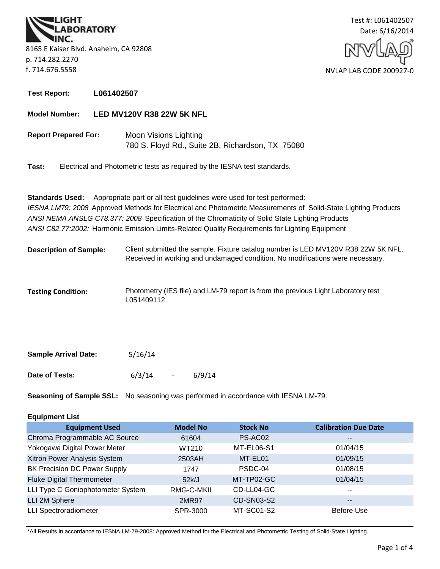



**Test Report: L061402507**

**Model Number: LED MV120V R38 22W 5K NFL**

**Report Prepared For:** Moon Visions Lighting 780 S. Floyd Rd., Suite 2B, Richardson, TX 75080

**Test:** Electrical and Photometric tests as required by the IESNA test standards.

**Standards Used:** Appropriate part or all test guidelines were used for test performed: *IESNA LM79: 2008* Approved Methods for Electrical and Photometric Measurements of Solid-State Lighting Products *ANSI NEMA ANSLG C78.377: 2008* Specification of the Chromaticity of Solid State Lighting Products *ANSI C82.77:2002:* Harmonic Emission Limits-Related Quality Requirements for Lighting Equipment

- **Description of Sample:** Client submitted the sample. Fixture catalog number is LED MV120V R38 22W 5K NFL. Received in working and undamaged condition. No modifications were necessary.
- Photometry (IES file) and LM-79 report is from the previous Light Laboratory test L051409112. **Testing Condition:**

| <b>Sample Arrival Date:</b> | 5/16/14 |                          |        |
|-----------------------------|---------|--------------------------|--------|
| Date of Tests:              | 6/3/14  | $\overline{\phantom{0}}$ | 6/9/14 |

**Seasoning of Sample SSL:** No seasoning was performed in accordance with IESNA LM-79.

| <b>Equipment List</b> |
|-----------------------|
|-----------------------|

| <b>Equipment Used</b>               | <b>Model No</b> | <b>Stock No</b> | <b>Calibration Due Date</b> |
|-------------------------------------|-----------------|-----------------|-----------------------------|
| Chroma Programmable AC Source       | 61604           | PS-AC02         | --                          |
| Yokogawa Digital Power Meter        | WT210           | MT-EL06-S1      | 01/04/15                    |
| Xitron Power Analysis System        | 2503AH          | MT-EL01         | 01/09/15                    |
| <b>BK Precision DC Power Supply</b> | 1747            | PSDC-04         | 01/08/15                    |
| <b>Fluke Digital Thermometer</b>    | 52k/J           | MT-TP02-GC      | 01/04/15                    |
| LLI Type C Goniophotometer System   | RMG-C-MKII      | CD-LL04-GC      | $\overline{\phantom{a}}$    |
| LLI 2M Sphere                       | <b>2MR97</b>    | CD-SN03-S2      | $\overline{\phantom{m}}$    |
| <b>LLI Spectroradiometer</b>        | SPR-3000        | MT-SC01-S2      | <b>Before Use</b>           |

\*All Results in accordance to IESNA LM-79-2008: Approved Method for the Electrical and Photometric Testing of Solid-State Lighting.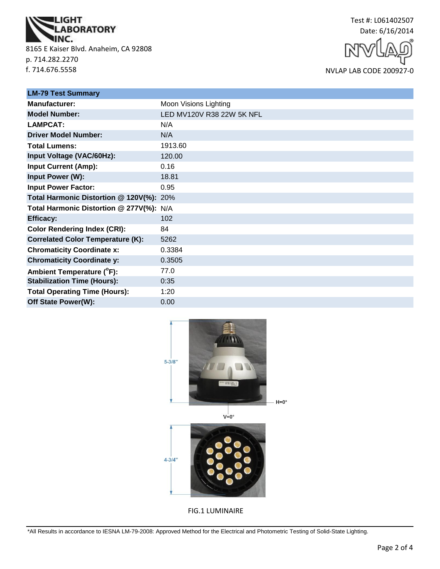

8165 E Kaiser Blvd. Anaheim, CA 92808 p. 714.282.2270 f. 714.676.5558



NVLAP LAB CODE 200927-0

| <b>LM-79 Test Summary</b>                |                           |
|------------------------------------------|---------------------------|
| <b>Manufacturer:</b>                     | Moon Visions Lighting     |
| <b>Model Number:</b>                     | LED MV120V R38 22W 5K NFL |
| <b>LAMPCAT:</b>                          | N/A                       |
| <b>Driver Model Number:</b>              | N/A                       |
| <b>Total Lumens:</b>                     | 1913.60                   |
| Input Voltage (VAC/60Hz):                | 120.00                    |
| <b>Input Current (Amp):</b>              | 0.16                      |
| Input Power (W):                         | 18.81                     |
| <b>Input Power Factor:</b>               | 0.95                      |
| Total Harmonic Distortion @ 120V(%): 20% |                           |
| Total Harmonic Distortion @ 277V(%): N/A |                           |
| <b>Efficacy:</b>                         | 102                       |
| <b>Color Rendering Index (CRI):</b>      | 84                        |
| <b>Correlated Color Temperature (K):</b> | 5262                      |
| <b>Chromaticity Coordinate x:</b>        | 0.3384                    |
| <b>Chromaticity Coordinate y:</b>        | 0.3505                    |
| Ambient Temperature (°F):                | 77.0                      |
| <b>Stabilization Time (Hours):</b>       | 0:35                      |
| <b>Total Operating Time (Hours):</b>     | 1:20                      |
| Off State Power(W):                      | 0.00                      |



FIG.1 LUMINAIRE

\*All Results in accordance to IESNA LM-79-2008: Approved Method for the Electrical and Photometric Testing of Solid-State Lighting.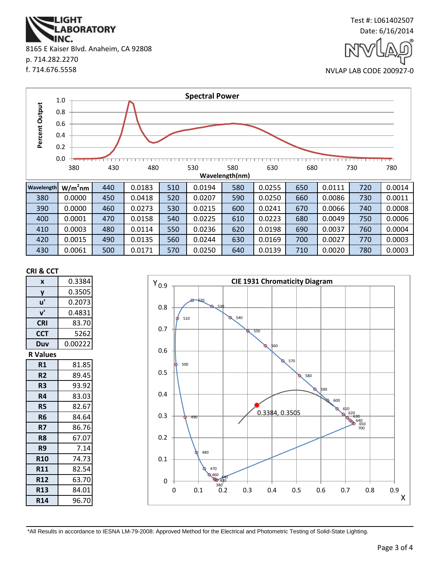**ABORATORY** INC. 8165 E Kaiser Blvd. Anaheim, CA 92808 p. 714.282.2270 f. 714.676.5558

**IGHT** 



Test #: L061402507

NVLAP LAB CODE 200927-0



#### **CRI & CCT**

| X               | 0.3384  |
|-----------------|---------|
| y               | 0.3505  |
| u'              | 0.2073  |
| ${\bf v}'$      | 0.4831  |
| <b>CRI</b>      | 83.70   |
| <b>CCT</b>      | 5262    |
| Duv             | 0.00222 |
| <b>R Values</b> |         |
| R1              | 81.85   |
| R <sub>2</sub>  | 89.45   |
| R3              | 93.92   |
| R4              | 83.03   |
| R5              | 82.67   |
| R <sub>6</sub>  | 84.64   |
| R7              | 86.76   |
| R8              | 67.07   |
| R9              | 7.14    |
| <b>R10</b>      | 74.73   |
| R11             | 82.54   |
| <b>R12</b>      | 63.70   |
| <b>R13</b>      | 84.01   |
| <b>R14</b>      | 96.70   |



\*All Results in accordance to IESNA LM-79-2008: Approved Method for the Electrical and Photometric Testing of Solid-State Lighting.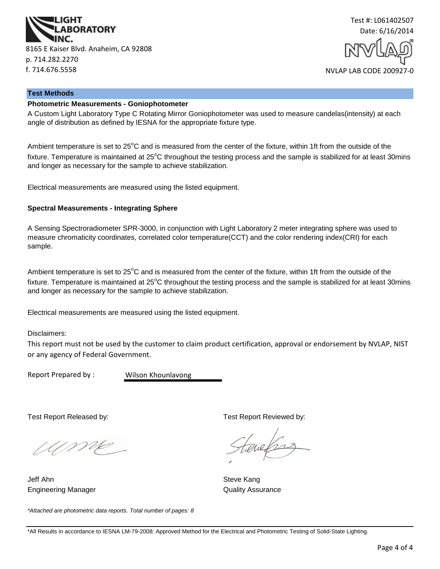



#### **Test Methods**

## **Photometric Measurements - Goniophotometer**

A Custom Light Laboratory Type C Rotating Mirror Goniophotometer was used to measure candelas(intensity) at each angle of distribution as defined by IESNA for the appropriate fixture type.

Ambient temperature is set to  $25^{\circ}$ C and is measured from the center of the fixture, within 1ft from the outside of the fixture. Temperature is maintained at  $25^{\circ}$ C throughout the testing process and the sample is stabilized for at least 30mins and longer as necessary for the sample to achieve stabilization.

Electrical measurements are measured using the listed equipment.

### **Spectral Measurements - Integrating Sphere**

A Sensing Spectroradiometer SPR-3000, in conjunction with Light Laboratory 2 meter integrating sphere was used to measure chromaticity coordinates, correlated color temperature(CCT) and the color rendering index(CRI) for each sample.

Ambient temperature is set to  $25^{\circ}$ C and is measured from the center of the fixture, within 1ft from the outside of the fixture. Temperature is maintained at  $25^{\circ}$ C throughout the testing process and the sample is stabilized for at least 30mins and longer as necessary for the sample to achieve stabilization.

Electrical measurements are measured using the listed equipment.

Disclaimers:

This report must not be used by the customer to claim product certification, approval or endorsement by NVLAP, NIST or any agency of Federal Government.

Report Prepared by :

Wilson Khounlavong

UME

Jeff Ahn Steve Kang Engineering Manager **Contract Contract Contract Contract Contract Contract Contract Contract Contract Contract Contract Contract Contract Contract Contract Contract Contract Contract Contract Contract Contract Contract Con** 

*\*Attached are photometric data reports. Total number of pages: 8*

Test Report Released by: Test Report Reviewed by: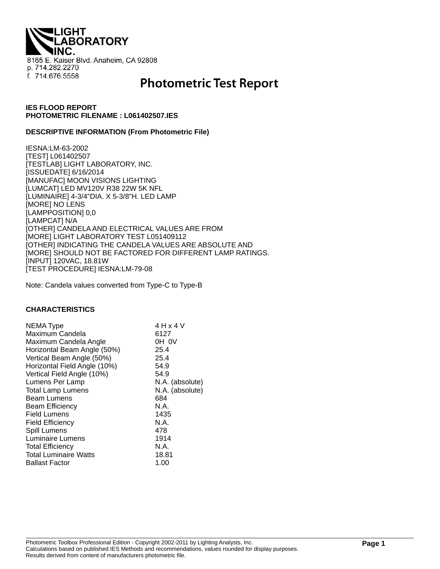**THQI. ABORATORY** 8165 E. Kaiser Blvd. Anaheim, CA 92808 p. 714.282.2270 f. 714.676.5558

# **Photometric Test Report**

## **IES FLOOD REPORT PHOTOMETRIC FILENAME : L061402507.IES**

## **DESCRIPTIVE INFORMATION (From Photometric File)**

IESNA:LM-63-2002 [TEST] L061402507 [TESTLAB] LIGHT LABORATORY, INC. [ISSUEDATE] 6/16/2014 [MANUFAC] MOON VISIONS LIGHTING [LUMCAT] LED MV120V R38 22W 5K NFL [LUMINAIRE] 4-3/4"DIA. X 5-3/8"H. LED LAMP [MORE] NO LENS [LAMPPOSITION] 0,0 [LAMPCAT] N/A [OTHER] CANDELA AND ELECTRICAL VALUES ARE FROM [MORE] LIGHT LABORATORY TEST L051409112 [OTHER] INDICATING THE CANDELA VALUES ARE ABSOLUTE AND [MORE] SHOULD NOT BE FACTORED FOR DIFFERENT LAMP RATINGS. [INPUT] 120VAC, 18.81W [TEST PROCEDURE] IESNA:LM-79-08

Note: Candela values converted from Type-C to Type-B

### **CHARACTERISTICS**

| 4 H x 4 V       |
|-----------------|
| 6127            |
| OH OV           |
| 25.4            |
| 25.4            |
| 54.9            |
| 54.9            |
| N.A. (absolute) |
| N.A. (absolute) |
| 684             |
| N.A.            |
| 1435            |
| N.A.            |
| 478             |
| 1914            |
| N.A.            |
| 18.81           |
| 1.00            |
|                 |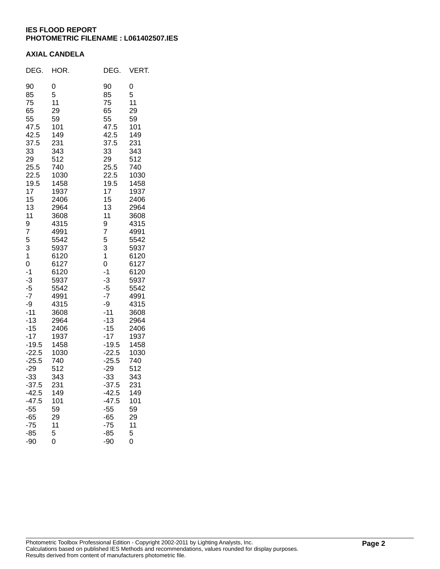## **IES FLOOD REPORT PHOTOMETRIC FILENAME : L061402507.IES**

## **AXIAL CANDELA**

| DEG.                                                                                                                                                                                                                                                                                                                         | HOR.                                                                                                                                                                                                                                                                                                             | DEG.                                                                                                                                                                                                                                                                                                                         | VERT.                                                                                                                                                                                                                                                                                                            |
|------------------------------------------------------------------------------------------------------------------------------------------------------------------------------------------------------------------------------------------------------------------------------------------------------------------------------|------------------------------------------------------------------------------------------------------------------------------------------------------------------------------------------------------------------------------------------------------------------------------------------------------------------|------------------------------------------------------------------------------------------------------------------------------------------------------------------------------------------------------------------------------------------------------------------------------------------------------------------------------|------------------------------------------------------------------------------------------------------------------------------------------------------------------------------------------------------------------------------------------------------------------------------------------------------------------|
| 90<br>85<br>75<br>65<br>55<br>47.5<br>42.5<br>37.5<br>33<br>29<br>25.5<br>22.5<br>19.5<br>17<br>15<br>13<br>11<br>9<br>7<br>5<br>3<br>1<br>0<br>$-1$<br>$-3$<br>$-5$<br>$-7$<br>-9<br>$-11$<br>$-13$<br>$-15$<br>$-17$<br>$-19.5$<br>$-22.5$<br>$-25.5$<br>$-29$<br>$-33$<br>$-37.5$<br>$-42.5$<br>$-47.5$<br>$-55$<br>$-65$ | 0<br>5<br>11<br>29<br>59<br>101<br>149<br>231<br>343<br>512<br>740<br>1030<br>1458<br>1937<br>2406<br>2964<br>3608<br>4315<br>4991<br>5542<br>5937<br>6120<br>6127<br>6120<br>5937<br>5542<br>4991<br>4315<br>3608<br>2964<br>2406<br>1937<br>1458<br>1030<br>740<br>512<br>343<br>231<br>149<br>101<br>59<br>29 | 90<br>85<br>75<br>65<br>55<br>47.5<br>42.5<br>37.5<br>33<br>29<br>25.5<br>22.5<br>19.5<br>17<br>15<br>13<br>11<br>9<br>7<br>5<br>3<br>1<br>0<br>$-1$<br>$-3$<br>$-5$<br>$-7$<br>-9<br>$-11$<br>$-13$<br>$-15$<br>$-17$<br>$-19.5$<br>$-22.5$<br>$-25.5$<br>$-29$<br>$-33$<br>$-37.5$<br>$-42.5$<br>$-47.5$<br>$-55$<br>$-65$ | 0<br>5<br>11<br>29<br>59<br>101<br>149<br>231<br>343<br>512<br>740<br>1030<br>1458<br>1937<br>2406<br>2964<br>3608<br>4315<br>4991<br>5542<br>5937<br>6120<br>6127<br>6120<br>5937<br>5542<br>4991<br>4315<br>3608<br>2964<br>2406<br>1937<br>1458<br>1030<br>740<br>512<br>343<br>231<br>149<br>101<br>59<br>29 |
| $-75$<br>$-85$<br>$-90$                                                                                                                                                                                                                                                                                                      | 11<br>5<br>$\overline{0}$                                                                                                                                                                                                                                                                                        | $-75$<br>$-85$<br>-90                                                                                                                                                                                                                                                                                                        | 11<br>5<br>0                                                                                                                                                                                                                                                                                                     |
|                                                                                                                                                                                                                                                                                                                              |                                                                                                                                                                                                                                                                                                                  |                                                                                                                                                                                                                                                                                                                              |                                                                                                                                                                                                                                                                                                                  |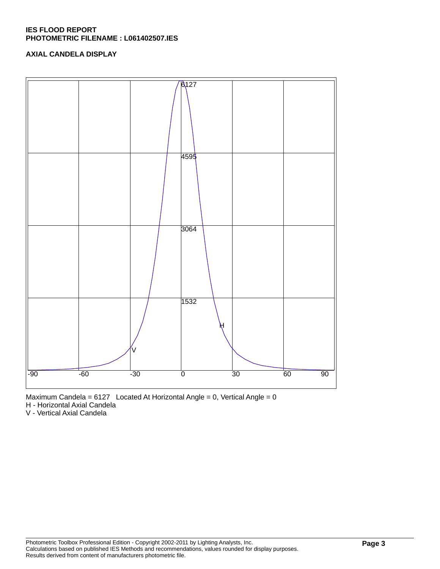## **IES FLOOD REPORT PHOTOMETRIC FILENAME : L061402507.IES**

## **AXIAL CANDELA DISPLAY**





H - Horizontal Axial Candela

V - Vertical Axial Candela